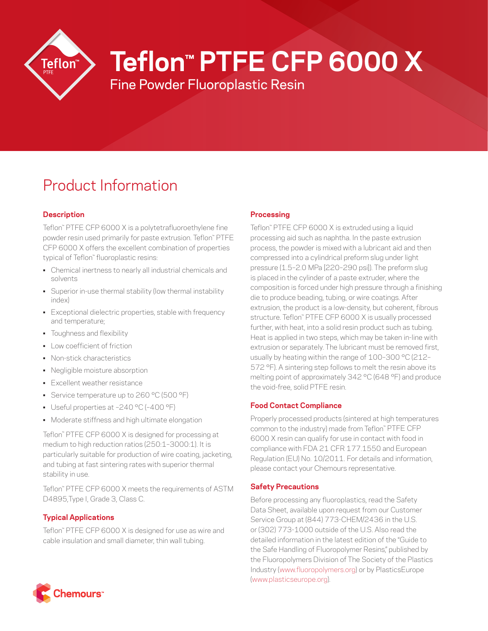

# **Teflon™ PTFE CFP 6000 X**

Fine Powder Fluoroplastic Resin

# Product Information

# **Description**

Teflon™ PTFE CFP 6000 X is a polytetrafluoroethylene fine powder resin used primarily for paste extrusion. Teflon™ PTFE CFP 6000 X offers the excellent combination of properties typical of Teflon™ fluoroplastic resins:

- Chemical inertness to nearly all industrial chemicals and solvents
- Superior in-use thermal stability (low thermal instability index)
- Exceptional dielectric properties, stable with frequency and temperature;
- Toughness and flexibility
- Low coefficient of friction
- Non-stick characteristics
- Negligible moisture absorption
- Excellent weather resistance
- Service temperature up to 260 °C (500 °F)
- Useful properties at –240 °C (–400 °F)
- Moderate stiffness and high ultimate elongation

Teflon™ PTFE CFP 6000 X is designed for processing at medium to high reduction ratios (250:1–3000:1). It is particularly suitable for production of wire coating, jacketing, and tubing at fast sintering rates with superior thermal stability in use.

Teflon™ PTFE CFP 6000 X meets the requirements of ASTM D4895,Type I, Grade 3, Class C.

# **Typical Applications**

Teflon™ PTFE CFP 6000 X is designed for use as wire and cable insulation and small diameter, thin wall tubing.

# **Processing**

Teflon™ PTFE CFP 6000 X is extruded using a liquid processing aid such as naphtha. In the paste extrusion process, the powder is mixed with a lubricant aid and then compressed into a cylindrical preform slug under light pressure (1.5–2.0 MPa [220–290 psi]). The preform slug is placed in the cylinder of a paste extruder, where the composition is forced under high pressure through a finishing die to produce beading, tubing, or wire coatings. After extrusion, the product is a low-density, but coherent, fibrous structure. Teflon™ PTFE CFP 6000 X is usually processed further, with heat, into a solid resin product such as tubing. Heat is applied in two steps, which may be taken in-line with extrusion or separately. The lubricant must be removed first, usually by heating within the range of 100–300 °C (212– 572 °F). A sintering step follows to melt the resin above its melting point of approximately 342 °C (648 °F) and produce the void-free, solid PTFE resin.

## **Food Contact Compliance**

Properly processed products (sintered at high temperatures common to the industry) made from Teflon™ PTFE CFP 6000 X resin can qualify for use in contact with food in compliance with FDA 21 CFR 177.1550 and European Regulation (EU) No. 10/2011. For details and information, please contact your Chemours representative.

## **Safety Precautions**

Before processing any fluoroplastics, read the Safety Data Sheet, available upon request from our Customer Service Group at (844) 773-CHEM/2436 in the U.S. or (302) 773-1000 outside of the U.S. Also read the detailed information in the latest edition of the "Guide to the Safe Handling of Fluoropolymer Resins," published by the Fluoropolymers Division of The Society of the Plastics Industry ([www.fluoropolymers.org](http://www.fluoropolymers.org)) or by PlasticsEurope [\(www.plasticseurope.org](http://www.plasticseurope.org)).